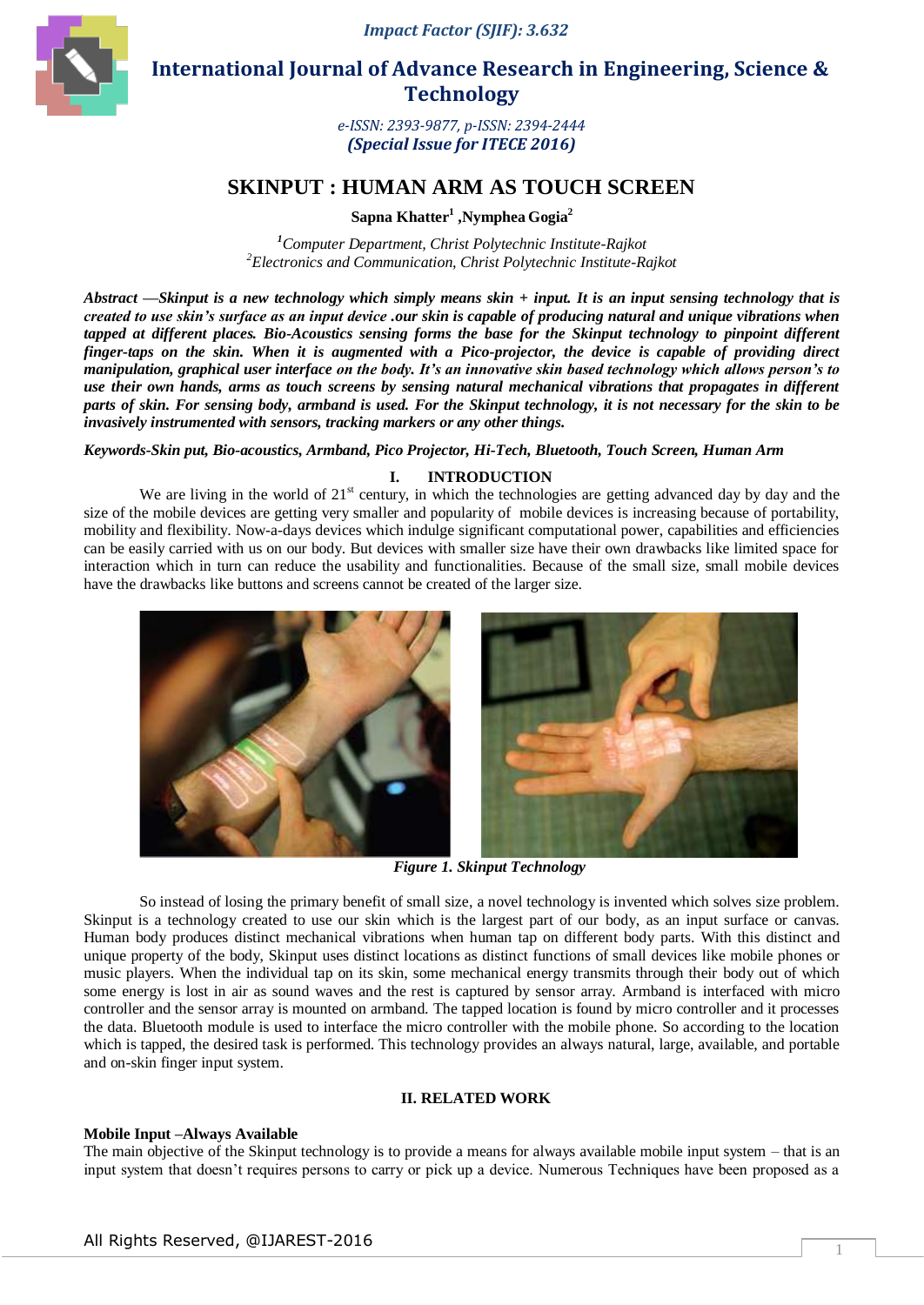*Impact Factor (SJIF): 3.632*



 **International Journal of Advance Research in Engineering, Science & Technology** 

> *e-ISSN: 2393-9877, p-ISSN: 2394-2444 (Special Issue for ITECE 2016)*

# **SKINPUT : HUMAN ARM AS TOUCH SCREEN**

**Sapna Khatter<sup>1</sup> ,Nymphea Gogia<sup>2</sup>**

*<sup>1</sup>Computer Department, Christ Polytechnic Institute-Rajkot <sup>2</sup>Electronics and Communication, Christ Polytechnic Institute-Rajkot*

*Abstract* **—***Skinput is a new technology which simply means skin + input. It is an input sensing technology that is created to use skin's surface as an input device .our skin is capable of producing natural and unique vibrations when tapped at different places. Bio-Acoustics sensing forms the base for the Skinput technology to pinpoint different finger-taps on the skin. When it is augmented with a Pico-projector, the device is capable of providing direct manipulation, graphical user interface on the body. It's an innovative skin based technology which allows person's to use their own hands, arms as touch screens by sensing natural mechanical vibrations that propagates in different parts of skin. For sensing body, armband is used. For the Skinput technology, it is not necessary for the skin to be invasively instrumented with sensors, tracking markers or any other things.*

*Keywords-Skin put, Bio-acoustics, Armband, Pico Projector, Hi-Tech, Bluetooth, Touch Screen, Human Arm*

# **I. INTRODUCTION**

We are living in the world of  $21<sup>st</sup>$  century, in which the technologies are getting advanced day by day and the size of the mobile devices are getting very smaller and popularity of mobile devices is increasing because of portability, mobility and flexibility. Now-a-days devices which indulge significant computational power, capabilities and efficiencies can be easily carried with us on our body. But devices with smaller size have their own drawbacks like limited space for interaction which in turn can reduce the usability and functionalities. Because of the small size, small mobile devices have the drawbacks like buttons and screens cannot be created of the larger size.



*Figure 1. Skinput Technology*

So instead of losing the primary benefit of small size, a novel technology is invented which solves size problem. Skinput is a technology created to use our skin which is the largest part of our body, as an input surface or canvas. Human body produces distinct mechanical vibrations when human tap on different body parts. With this distinct and unique property of the body, Skinput uses distinct locations as distinct functions of small devices like mobile phones or music players. When the individual tap on its skin, some mechanical energy transmits through their body out of which some energy is lost in air as sound waves and the rest is captured by sensor array. Armband is interfaced with micro controller and the sensor array is mounted on armband. The tapped location is found by micro controller and it processes the data. Bluetooth module is used to interface the micro controller with the mobile phone. So according to the location which is tapped, the desired task is performed. This technology provides an always natural, large, available, and portable and on-skin finger input system.

### **II. RELATED WORK**

#### **Mobile Input –Always Available**

The main objective of the Skinput technology is to provide a means for always available mobile input system – that is an input system that doesn't requires persons to carry or pick up a device. Numerous Techniques have been proposed as a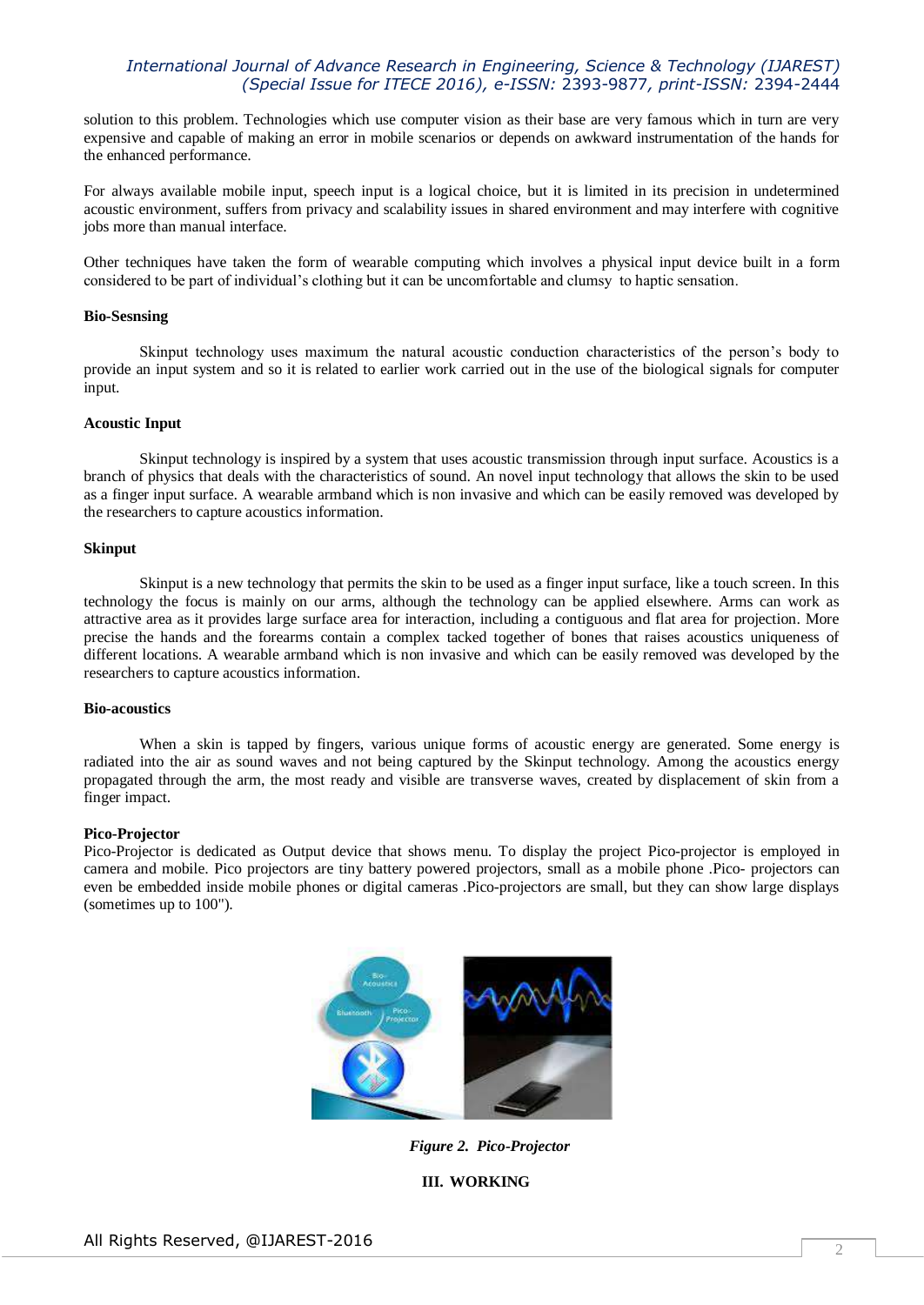solution to this problem. Technologies which use computer vision as their base are very famous which in turn are very expensive and capable of making an error in mobile scenarios or depends on awkward instrumentation of the hands for the enhanced performance.

For always available mobile input, speech input is a logical choice, but it is limited in its precision in undetermined acoustic environment, suffers from privacy and scalability issues in shared environment and may interfere with cognitive jobs more than manual interface.

Other techniques have taken the form of wearable computing which involves a physical input device built in a form considered to be part of individual's clothing but it can be uncomfortable and clumsy to haptic sensation.

#### **Bio-Sesnsing**

Skinput technology uses maximum the natural acoustic conduction characteristics of the person's body to provide an input system and so it is related to earlier work carried out in the use of the biological signals for computer input.

### **Acoustic Input**

Skinput technology is inspired by a system that uses acoustic transmission through input surface. Acoustics is a branch of physics that deals with the characteristics of sound. An novel input technology that allows the skin to be used as a finger input surface. A wearable armband which is non invasive and which can be easily removed was developed by the researchers to capture acoustics information.

### **Skinput**

Skinput is a new technology that permits the skin to be used as a finger input surface, like a touch screen. In this technology the focus is mainly on our arms, although the technology can be applied elsewhere. Arms can work as attractive area as it provides large surface area for interaction, including a contiguous and flat area for projection. More precise the hands and the forearms contain a complex tacked together of bones that raises acoustics uniqueness of different locations. A wearable armband which is non invasive and which can be easily removed was developed by the researchers to capture acoustics information.

### **Bio-acoustics**

When a skin is tapped by fingers, various unique forms of acoustic energy are generated. Some energy is radiated into the air as sound waves and not being captured by the Skinput technology. Among the acoustics energy propagated through the arm, the most ready and visible are transverse waves, created by displacement of skin from a finger impact.

#### **Pico-Projector**

Pico-Projector is dedicated as Output device that shows menu. To display the project Pico-projector is employed in camera and mobile. Pico projectors are tiny battery powered projectors, small as a mobile phone .Pico- projectors can even be embedded inside mobile phones or digital cameras .Pico-projectors are small, but they can show large displays (sometimes up to 100").



*Figure 2. Pico-Projector*

# **III. WORKING**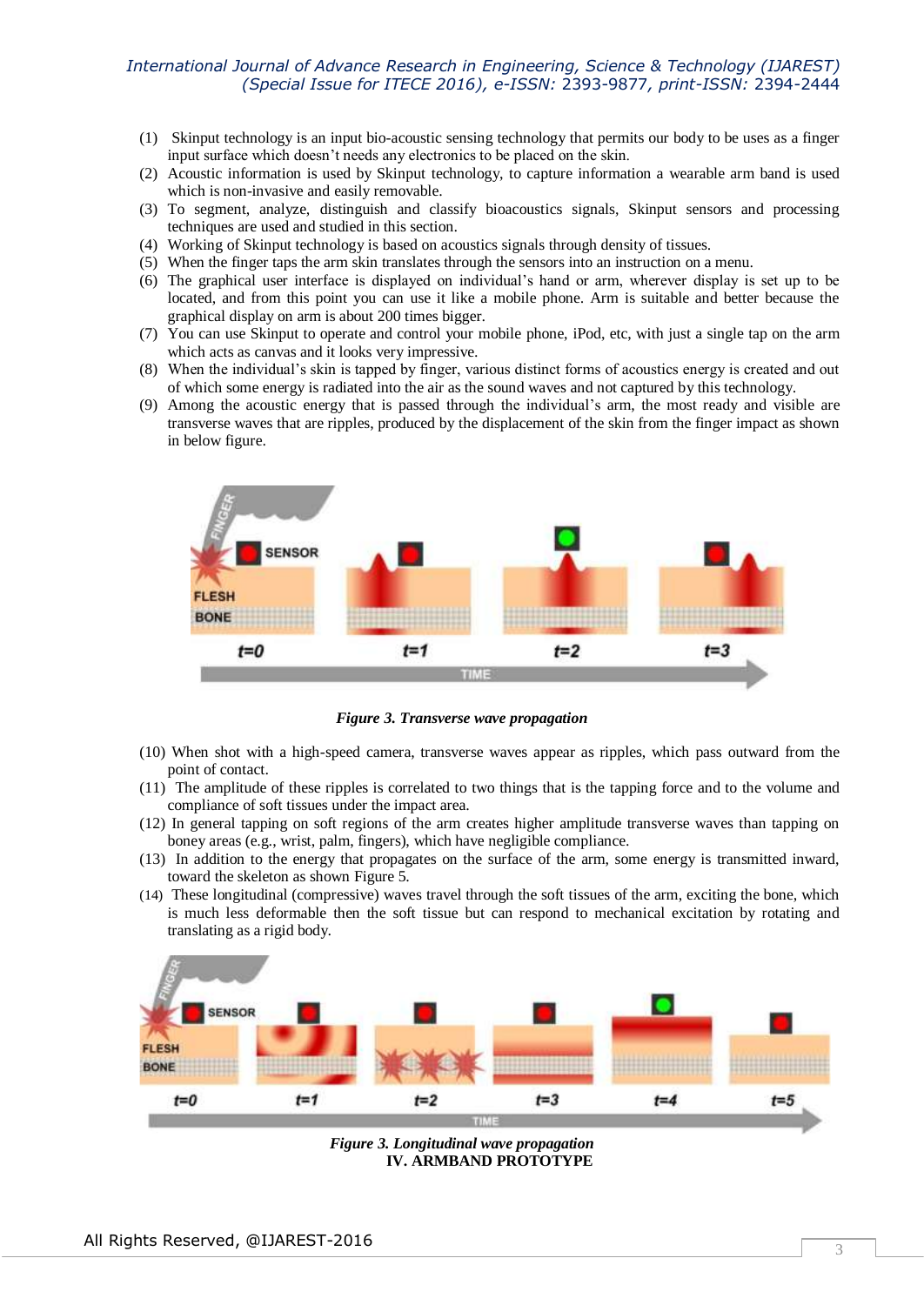- (1) Skinput technology is an input bio-acoustic sensing technology that permits our body to be uses as a finger input surface which doesn't needs any electronics to be placed on the skin.
- (2) Acoustic information is used by Skinput technology, to capture information a wearable arm band is used which is non-invasive and easily removable.
- (3) To segment, analyze, distinguish and classify bioacoustics signals, Skinput sensors and processing techniques are used and studied in this section.
- (4) Working of Skinput technology is based on acoustics signals through density of tissues.
- (5) When the finger taps the arm skin translates through the sensors into an instruction on a menu.
- (6) The graphical user interface is displayed on individual's hand or arm, wherever display is set up to be located, and from this point you can use it like a mobile phone. Arm is suitable and better because the graphical display on arm is about 200 times bigger.
- (7) You can use Skinput to operate and control your mobile phone, iPod, etc, with just a single tap on the arm which acts as canvas and it looks very impressive.
- (8) When the individual's skin is tapped by finger, various distinct forms of acoustics energy is created and out of which some energy is radiated into the air as the sound waves and not captured by this technology.
- (9) Among the acoustic energy that is passed through the individual's arm, the most ready and visible are transverse waves that are ripples, produced by the displacement of the skin from the finger impact as shown in below figure.



*Figure 3. Transverse wave propagation*

- (10) When shot with a high-speed camera, transverse waves appear as ripples, which pass outward from the point of contact.
- (11) The amplitude of these ripples is correlated to two things that is the tapping force and to the volume and compliance of soft tissues under the impact area.
- (12) In general tapping on soft regions of the arm creates higher amplitude transverse waves than tapping on boney areas (e.g., wrist, palm, fingers), which have negligible compliance.
- (13) In addition to the energy that propagates on the surface of the arm, some energy is transmitted inward, toward the skeleton as shown Figure 5.
- (14) These longitudinal (compressive) waves travel through the soft tissues of the arm, exciting the bone, which is much less deformable then the soft tissue but can respond to mechanical excitation by rotating and translating as a rigid body.



*Figure 3. Longitudinal wave propagation* **IV. ARMBAND PROTOTYPE**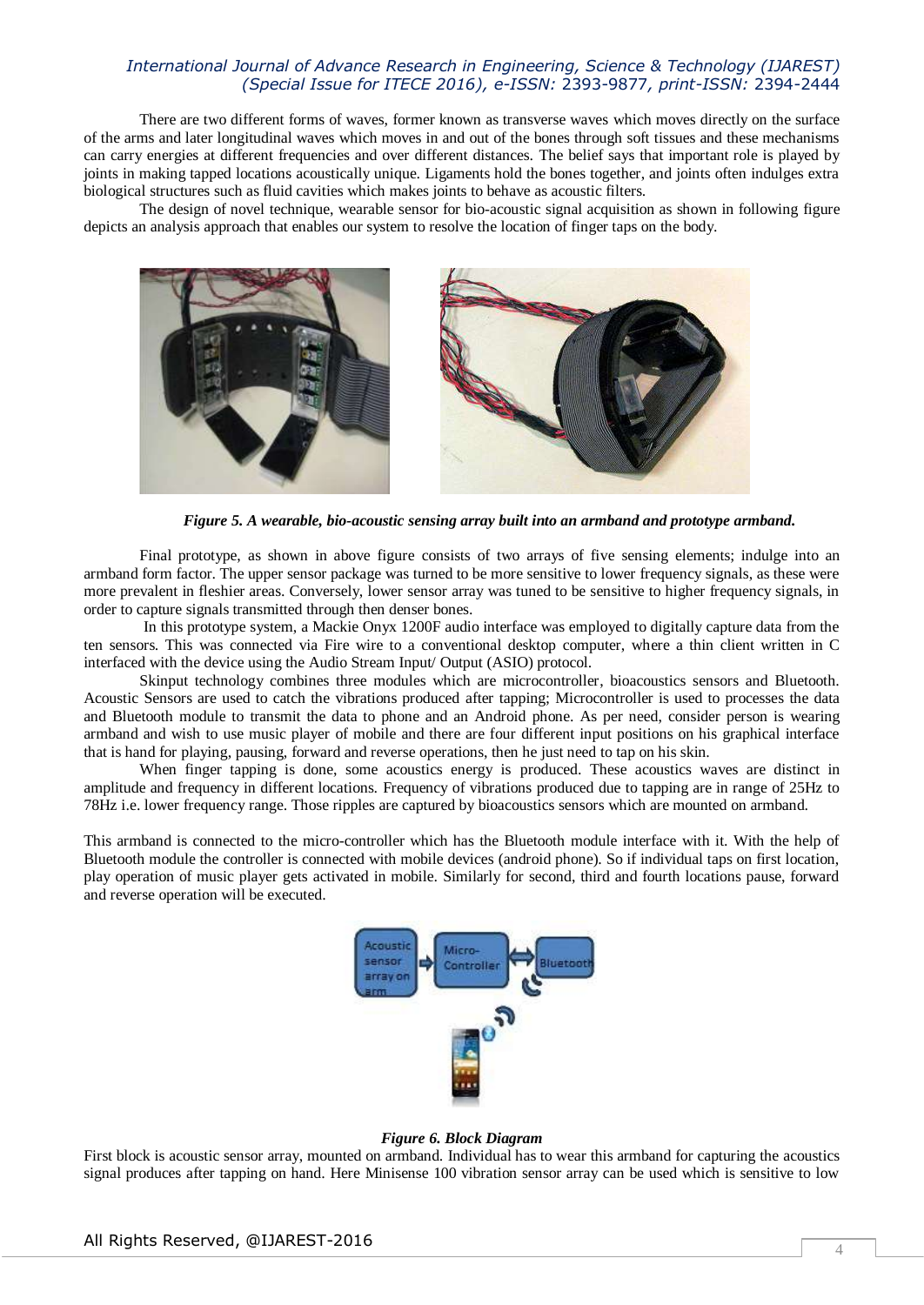There are two different forms of waves, former known as transverse waves which moves directly on the surface of the arms and later longitudinal waves which moves in and out of the bones through soft tissues and these mechanisms can carry energies at different frequencies and over different distances. The belief says that important role is played by joints in making tapped locations acoustically unique. Ligaments hold the bones together, and joints often indulges extra biological structures such as fluid cavities which makes joints to behave as acoustic filters.

The design of novel technique, wearable sensor for bio-acoustic signal acquisition as shown in following figure depicts an analysis approach that enables our system to resolve the location of finger taps on the body.



*Figure 5. A wearable, bio-acoustic sensing array built into an armband and prototype armband.*

Final prototype, as shown in above figure consists of two arrays of five sensing elements; indulge into an armband form factor. The upper sensor package was turned to be more sensitive to lower frequency signals, as these were more prevalent in fleshier areas. Conversely, lower sensor array was tuned to be sensitive to higher frequency signals, in order to capture signals transmitted through then denser bones.

In this prototype system, a Mackie Onyx 1200F audio interface was employed to digitally capture data from the ten sensors. This was connected via Fire wire to a conventional desktop computer, where a thin client written in C interfaced with the device using the Audio Stream Input/ Output (ASIO) protocol.

Skinput technology combines three modules which are microcontroller, bioacoustics sensors and Bluetooth. Acoustic Sensors are used to catch the vibrations produced after tapping; Microcontroller is used to processes the data and Bluetooth module to transmit the data to phone and an Android phone. As per need, consider person is wearing armband and wish to use music player of mobile and there are four different input positions on his graphical interface that is hand for playing, pausing, forward and reverse operations, then he just need to tap on his skin.

When finger tapping is done, some acoustics energy is produced. These acoustics waves are distinct in amplitude and frequency in different locations. Frequency of vibrations produced due to tapping are in range of 25Hz to 78Hz i.e. lower frequency range. Those ripples are captured by bioacoustics sensors which are mounted on armband.

This armband is connected to the micro-controller which has the Bluetooth module interface with it. With the help of Bluetooth module the controller is connected with mobile devices (android phone). So if individual taps on first location, play operation of music player gets activated in mobile. Similarly for second, third and fourth locations pause, forward and reverse operation will be executed.



#### *Figure 6. Block Diagram*

First block is acoustic sensor array, mounted on armband. Individual has to wear this armband for capturing the acoustics signal produces after tapping on hand. Here Minisense 100 vibration sensor array can be used which is sensitive to low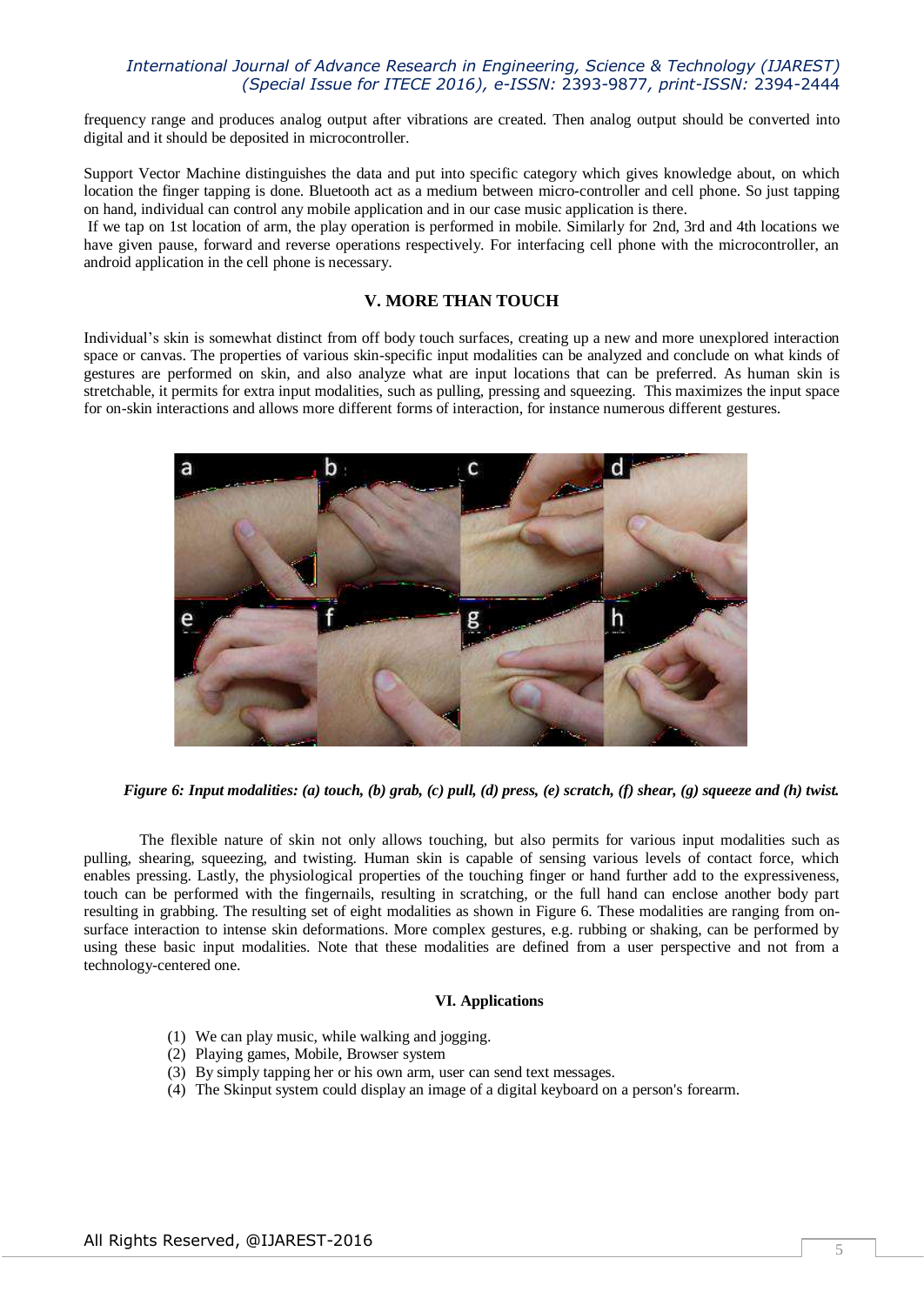frequency range and produces analog output after vibrations are created. Then analog output should be converted into digital and it should be deposited in microcontroller.

Support Vector Machine distinguishes the data and put into specific category which gives knowledge about, on which location the finger tapping is done. Bluetooth act as a medium between micro-controller and cell phone. So just tapping on hand, individual can control any mobile application and in our case music application is there.

If we tap on 1st location of arm, the play operation is performed in mobile. Similarly for 2nd, 3rd and 4th locations we have given pause, forward and reverse operations respectively. For interfacing cell phone with the microcontroller, an android application in the cell phone is necessary.

# **V. MORE THAN TOUCH**

Individual's skin is somewhat distinct from off body touch surfaces, creating up a new and more unexplored interaction space or canvas. The properties of various skin-specific input modalities can be analyzed and conclude on what kinds of gestures are performed on skin, and also analyze what are input locations that can be preferred. As human skin is stretchable, it permits for extra input modalities, such as pulling, pressing and squeezing. This maximizes the input space for on-skin interactions and allows more different forms of interaction, for instance numerous different gestures.



*Figure 6: Input modalities: (a) touch, (b) grab, (c) pull, (d) press, (e) scratch, (f) shear, (g) squeeze and (h) twist.*

The flexible nature of skin not only allows touching, but also permits for various input modalities such as pulling, shearing, squeezing, and twisting. Human skin is capable of sensing various levels of contact force, which enables pressing. Lastly, the physiological properties of the touching finger or hand further add to the expressiveness, touch can be performed with the fingernails, resulting in scratching, or the full hand can enclose another body part resulting in grabbing. The resulting set of eight modalities as shown in Figure 6. These modalities are ranging from onsurface interaction to intense skin deformations. More complex gestures, e.g. rubbing or shaking, can be performed by using these basic input modalities. Note that these modalities are defined from a user perspective and not from a technology-centered one.

#### **VI. Applications**

- (1) We can play music, while walking and jogging.
- (2) Playing games, Mobile, Browser system
- (3) By simply tapping her or his own arm, user can send text messages.
- (4) The Skinput system could display an image of a digital keyboard on a person's forearm.